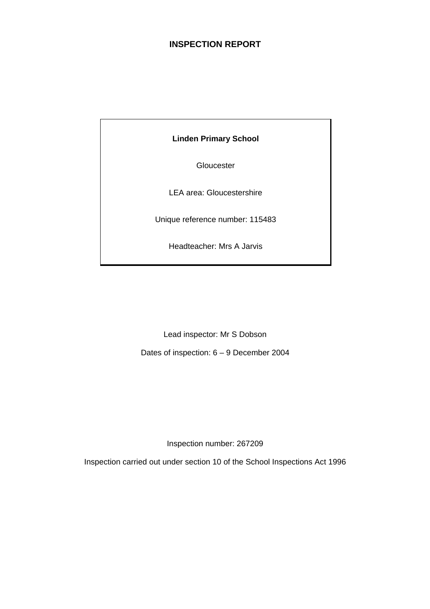# **INSPECTION REPORT**

**Linden Primary School** 

**Gloucester** 

LEA area: Gloucestershire

Unique reference number: 115483

Headteacher: Mrs A Jarvis

Lead inspector: Mr S Dobson

Dates of inspection: 6 – 9 December 2004

Inspection number: 267209

Inspection carried out under section 10 of the School Inspections Act 1996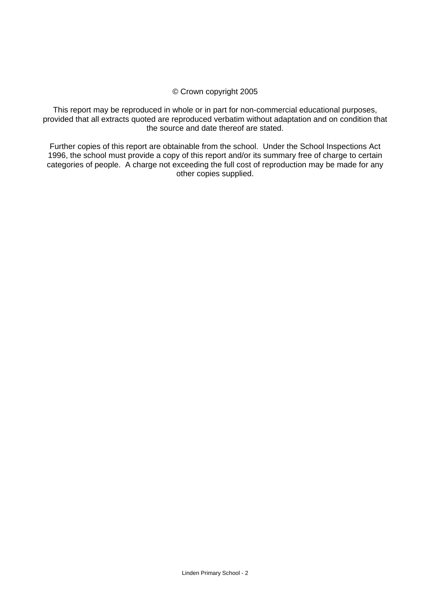#### © Crown copyright 2005

This report may be reproduced in whole or in part for non-commercial educational purposes, provided that all extracts quoted are reproduced verbatim without adaptation and on condition that the source and date thereof are stated.

Further copies of this report are obtainable from the school. Under the School Inspections Act 1996, the school must provide a copy of this report and/or its summary free of charge to certain categories of people. A charge not exceeding the full cost of reproduction may be made for any other copies supplied.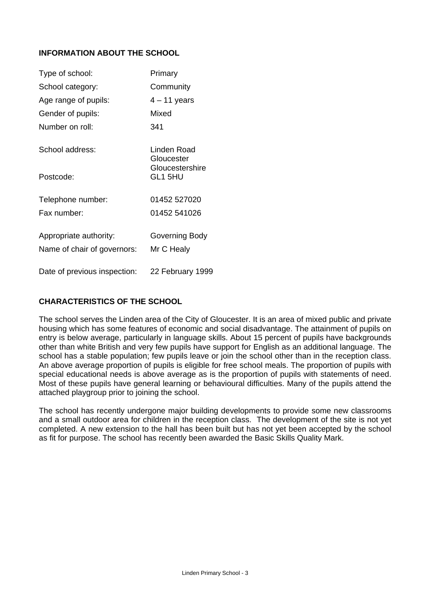# **INFORMATION ABOUT THE SCHOOL**

| Type of school:              | Primary                    |
|------------------------------|----------------------------|
| School category:             | Community                  |
| Age range of pupils:         | $4 - 11$ years             |
| Gender of pupils:            | Mixed                      |
| Number on roll:              | 341                        |
| School address:              | Linden Road<br>Gloucester  |
| Postcode:                    | Gloucestershire<br>GL1 5HU |
| Telephone number:            | 01452 527020               |
| Fax number:                  | 01452 541026               |
| Appropriate authority:       | Governing Body             |
| Name of chair of governors:  | Mr C Healy                 |
| Date of previous inspection: | 22 February 1999           |

# **CHARACTERISTICS OF THE SCHOOL**

The school serves the Linden area of the City of Gloucester. It is an area of mixed public and private housing which has some features of economic and social disadvantage. The attainment of pupils on entry is below average, particularly in language skills. About 15 percent of pupils have backgrounds other than white British and very few pupils have support for English as an additional language. The school has a stable population; few pupils leave or join the school other than in the reception class. An above average proportion of pupils is eligible for free school meals. The proportion of pupils with special educational needs is above average as is the proportion of pupils with statements of need. Most of these pupils have general learning or behavioural difficulties. Many of the pupils attend the attached playgroup prior to joining the school.

The school has recently undergone major building developments to provide some new classrooms and a small outdoor area for children in the reception class. The development of the site is not yet completed. A new extension to the hall has been built but has not yet been accepted by the school as fit for purpose. The school has recently been awarded the Basic Skills Quality Mark.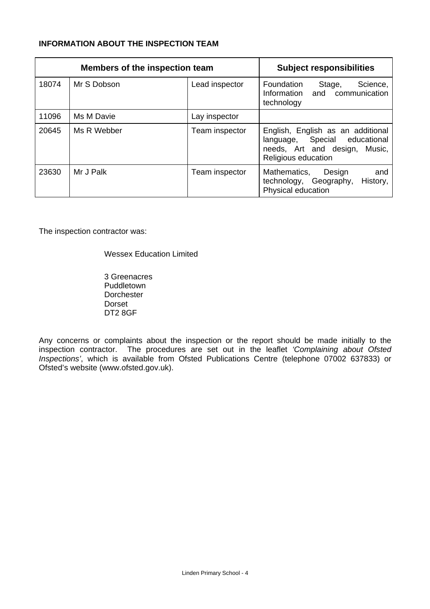# **INFORMATION ABOUT THE INSPECTION TEAM**

| <b>Members of the inspection team</b> |             |                | <b>Subject responsibilities</b>                                                                                            |
|---------------------------------------|-------------|----------------|----------------------------------------------------------------------------------------------------------------------------|
| 18074                                 | Mr S Dobson | Lead inspector | Foundation<br>Stage,<br>Science,<br>and communication<br>Information<br>technology                                         |
| 11096                                 | Ms M Davie  | Lay inspector  |                                                                                                                            |
| 20645                                 | Ms R Webber | Team inspector | English, English as an additional<br>language, Special educational<br>needs, Art and design, Music,<br>Religious education |
| 23630                                 | Mr J Palk   | Team inspector | Mathematics,<br>Design<br>and<br>technology, Geography,<br>History,<br>Physical education                                  |

The inspection contractor was:

#### Wessex Education Limited

 3 Greenacres Puddletown Dorchester Dorset DT2 8GF

Any concerns or complaints about the inspection or the report should be made initially to the inspection contractor. The procedures are set out in the leaflet *'Complaining about Ofsted Inspections'*, which is available from Ofsted Publications Centre (telephone 07002 637833) or Ofsted's website (www.ofsted.gov.uk).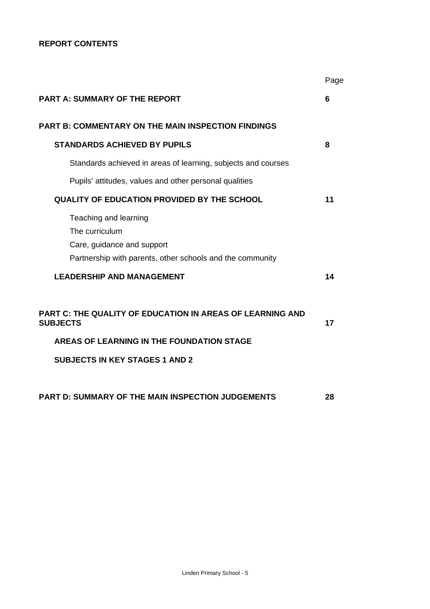# **REPORT CONTENTS**

|                                                                                                                                    | Page |
|------------------------------------------------------------------------------------------------------------------------------------|------|
| <b>PART A: SUMMARY OF THE REPORT</b>                                                                                               | 6    |
| <b>PART B: COMMENTARY ON THE MAIN INSPECTION FINDINGS</b>                                                                          |      |
| <b>STANDARDS ACHIEVED BY PUPILS</b>                                                                                                | 8    |
| Standards achieved in areas of learning, subjects and courses                                                                      |      |
| Pupils' attitudes, values and other personal qualities                                                                             |      |
| <b>QUALITY OF EDUCATION PROVIDED BY THE SCHOOL</b>                                                                                 | 11   |
| Teaching and learning<br>The curriculum<br>Care, guidance and support<br>Partnership with parents, other schools and the community |      |
| <b>LEADERSHIP AND MANAGEMENT</b>                                                                                                   | 14   |
| PART C: THE QUALITY OF EDUCATION IN AREAS OF LEARNING AND<br><b>SUBJECTS</b>                                                       | 17   |
| AREAS OF LEARNING IN THE FOUNDATION STAGE                                                                                          |      |
| <b>SUBJECTS IN KEY STAGES 1 AND 2</b>                                                                                              |      |
| <b>PART D: SUMMARY OF THE MAIN INSPECTION JUDGEMENTS</b>                                                                           | 28   |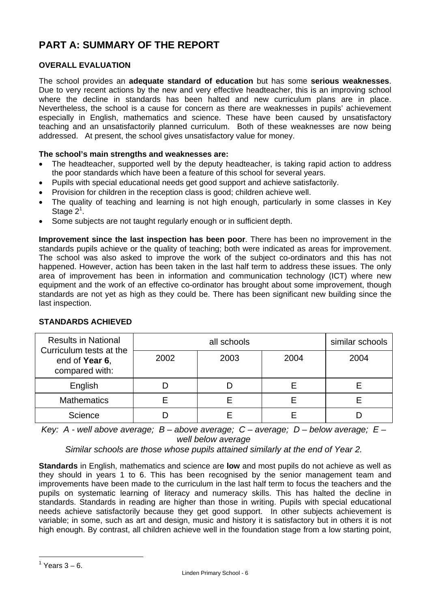# **PART A: SUMMARY OF THE REPORT**

# **OVERALL EVALUATION**

The school provides an **adequate standard of education** but has some **serious weaknesses**. Due to very recent actions by the new and very effective headteacher, this is an improving school where the decline in standards has been halted and new curriculum plans are in place. Nevertheless, the school is a cause for concern as there are weaknesses in pupils' achievement especially in English, mathematics and science. These have been caused by unsatisfactory teaching and an unsatisfactorily planned curriculum. Both of these weaknesses are now being addressed. At present, the school gives unsatisfactory value for money.

# **The school's main strengths and weaknesses are:**

- The headteacher, supported well by the deputy headteacher, is taking rapid action to address the poor standards which have been a feature of this school for several years.
- Pupils with special educational needs get good support and achieve satisfactorily.
- Provision for children in the reception class is good; children achieve well.
- The quality of teaching and learning is not high enough, particularly in some classes in Key Stage  $2^1$ .
- Some subjects are not taught regularly enough or in sufficient depth.

**Improvement since the last inspection has been poor**. There has been no improvement in the standards pupils achieve or the quality of teaching; both were indicated as areas for improvement. The school was also asked to improve the work of the subject co-ordinators and this has not happened. However, action has been taken in the last half term to address these issues. The only area of improvement has been in information and communication technology (ICT) where new equipment and the work of an effective co-ordinator has brought about some improvement, though standards are not yet as high as they could be. There has been significant new building since the last inspection.

| <b>Results in National</b><br>Curriculum tests at the |              | similar schools |      |      |  |
|-------------------------------------------------------|--------------|-----------------|------|------|--|
| end of Year 6,<br>compared with:                      | 2003<br>2002 |                 | 2004 | 2004 |  |
| English                                               |              |                 |      |      |  |
| <b>Mathematics</b>                                    |              |                 |      |      |  |
| Science                                               |              |                 |      |      |  |

# **STANDARDS ACHIEVED**

*Key: A - well above average; B – above average; C – average; D – below average; E – well below average* 

*Similar schools are those whose pupils attained similarly at the end of Year 2.* 

**Standards** in English, mathematics and science are **low** and most pupils do not achieve as well as they should in years 1 to 6. This has been recognised by the senior management team and improvements have been made to the curriculum in the last half term to focus the teachers and the pupils on systematic learning of literacy and numeracy skills. This has halted the decline in standards. Standards in reading are higher than those in writing. Pupils with special educational needs achieve satisfactorily because they get good support. In other subjects achievement is variable; in some, such as art and design, music and history it is satisfactory but in others it is not high enough. By contrast, all children achieve well in the foundation stage from a low starting point,

-

 $<sup>1</sup>$  Years 3 – 6.</sup>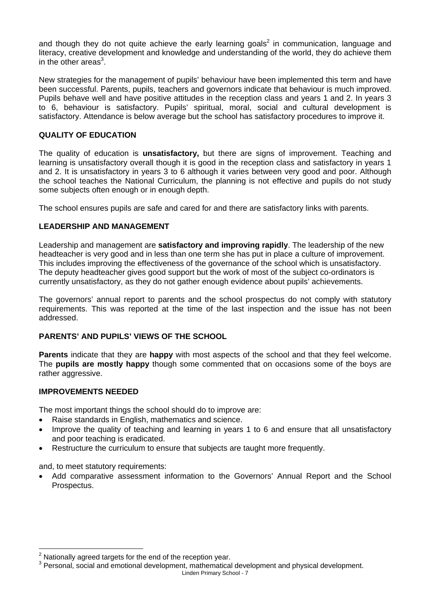and though they do not quite achieve the early learning goals<sup>2</sup> in communication, language and literacy, creative development and knowledge and understanding of the world, they do achieve them in the other areas $3$ .

New strategies for the management of pupils' behaviour have been implemented this term and have been successful. Parents, pupils, teachers and governors indicate that behaviour is much improved. Pupils behave well and have positive attitudes in the reception class and years 1 and 2. In years 3 to 6, behaviour is satisfactory. Pupils' spiritual, moral, social and cultural development is satisfactory. Attendance is below average but the school has satisfactory procedures to improve it.

# **QUALITY OF EDUCATION**

The quality of education is **unsatisfactory,** but there are signs of improvement. Teaching and learning is unsatisfactory overall though it is good in the reception class and satisfactory in years 1 and 2. It is unsatisfactory in years 3 to 6 although it varies between very good and poor. Although the school teaches the National Curriculum, the planning is not effective and pupils do not study some subjects often enough or in enough depth.

The school ensures pupils are safe and cared for and there are satisfactory links with parents.

#### **LEADERSHIP AND MANAGEMENT**

Leadership and management are **satisfactory and improving rapidly**. The leadership of the new headteacher is very good and in less than one term she has put in place a culture of improvement. This includes improving the effectiveness of the governance of the school which is unsatisfactory. The deputy headteacher gives good support but the work of most of the subject co-ordinators is currently unsatisfactory, as they do not gather enough evidence about pupils' achievements.

The governors' annual report to parents and the school prospectus do not comply with statutory requirements. This was reported at the time of the last inspection and the issue has not been addressed.

#### **PARENTS' AND PUPILS' VIEWS OF THE SCHOOL**

**Parents** indicate that they are **happy** with most aspects of the school and that they feel welcome. The **pupils are mostly happy** though some commented that on occasions some of the boys are rather aggressive.

#### **IMPROVEMENTS NEEDED**

The most important things the school should do to improve are:

- Raise standards in English, mathematics and science.
- Improve the quality of teaching and learning in years 1 to 6 and ensure that all unsatisfactory and poor teaching is eradicated.
- Restructure the curriculum to ensure that subjects are taught more frequently.

and, to meet statutory requirements:

 $\overline{a}$ 

• Add comparative assessment information to the Governors' Annual Report and the School Prospectus.

 $\frac{2}{3}$  Nationally agreed targets for the end of the reception year.

Linden Primary School - 7 <sup>3</sup> Personal, social and emotional development, mathematical development and physical development.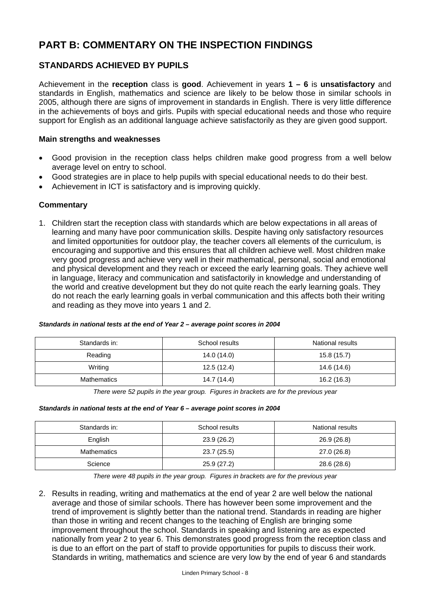# **PART B: COMMENTARY ON THE INSPECTION FINDINGS**

# **STANDARDS ACHIEVED BY PUPILS**

Achievement in the **reception** class is **good**. Achievement in years **1 – 6** is **unsatisfactory** and standards in English, mathematics and science are likely to be below those in similar schools in 2005, although there are signs of improvement in standards in English. There is very little difference in the achievements of boys and girls. Pupils with special educational needs and those who require support for English as an additional language achieve satisfactorily as they are given good support.

#### **Main strengths and weaknesses**

- Good provision in the reception class helps children make good progress from a well below average level on entry to school.
- Good strategies are in place to help pupils with special educational needs to do their best.
- Achievement in ICT is satisfactory and is improving quickly.

#### **Commentary**

1. Children start the reception class with standards which are below expectations in all areas of learning and many have poor communication skills. Despite having only satisfactory resources and limited opportunities for outdoor play, the teacher covers all elements of the curriculum, is encouraging and supportive and this ensures that all children achieve well. Most children make very good progress and achieve very well in their mathematical, personal, social and emotional and physical development and they reach or exceed the early learning goals. They achieve well in language, literacy and communication and satisfactorily in knowledge and understanding of the world and creative development but they do not quite reach the early learning goals. They do not reach the early learning goals in verbal communication and this affects both their writing and reading as they move into years 1 and 2.

| Standards in:      | School results | National results |
|--------------------|----------------|------------------|
| Reading            | 14.0 (14.0)    | 15.8(15.7)       |
| Writing            | 12.5(12.4)     | 14.6 (14.6)      |
| <b>Mathematics</b> | 14.7 (14.4)    | 16.2 (16.3)      |

#### *Standards in national tests at the end of Year 2 – average point scores in 2004*

*There were 52 pupils in the year group. Figures in brackets are for the previous year* 

#### *Standards in national tests at the end of Year 6 – average point scores in 2004*

| Standards in:      | School results | National results |
|--------------------|----------------|------------------|
| English            | 23.9(26.2)     | 26.9 (26.8)      |
| <b>Mathematics</b> | 23.7 (25.5)    | 27.0 (26.8)      |
| Science            | 25.9 (27.2)    | 28.6 (28.6)      |

*There were 48 pupils in the year group. Figures in brackets are for the previous year* 

2. Results in reading, writing and mathematics at the end of year 2 are well below the national average and those of similar schools. There has however been some improvement and the trend of improvement is slightly better than the national trend. Standards in reading are higher than those in writing and recent changes to the teaching of English are bringing some improvement throughout the school. Standards in speaking and listening are as expected nationally from year 2 to year 6. This demonstrates good progress from the reception class and is due to an effort on the part of staff to provide opportunities for pupils to discuss their work. Standards in writing, mathematics and science are very low by the end of year 6 and standards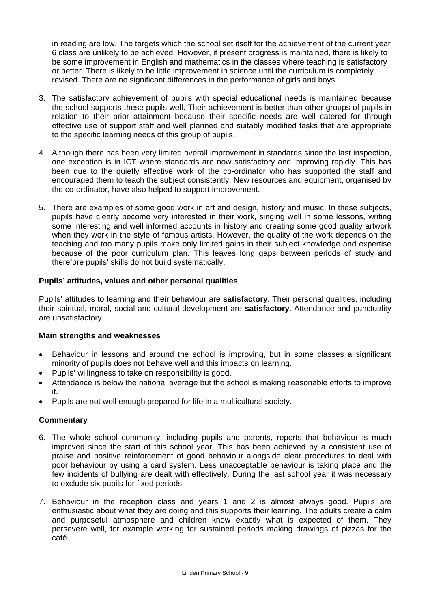in reading are low. The targets which the school set itself for the achievement of the current year 6 class are unlikely to be achieved. However, if present progress is maintained, there is likely to be some improvement in English and mathematics in the classes where teaching is satisfactory or better. There is likely to be little improvement in science until the curriculum is completely revised. There are no significant differences in the performance of girls and boys.

- 3. The satisfactory achievement of pupils with special educational needs is maintained because the school supports these pupils well. Their achievement is better than other groups of pupils in relation to their prior attainment because their specific needs are well catered for through effective use of support staff and well planned and suitably modified tasks that are appropriate to the specific learning needs of this group of pupils.
- 4. Although there has been very limited overall improvement in standards since the last inspection, one exception is in ICT where standards are now satisfactory and improving rapidly. This has been due to the quietly effective work of the co-ordinator who has supported the staff and encouraged them to teach the subject consistently. New resources and equipment, organised by the co-ordinator, have also helped to support improvement.
- 5. There are examples of some good work in art and design, history and music. In these subjects, pupils have clearly become very interested in their work, singing well in some lessons, writing some interesting and well informed accounts in history and creating some good quality artwork when they work in the style of famous artists. However, the quality of the work depends on the teaching and too many pupils make only limited gains in their subject knowledge and expertise because of the poor curriculum plan. This leaves long gaps between periods of study and therefore pupils' skills do not build systematically.

# **Pupils' attitudes, values and other personal qualities**

Pupils' attitudes to learning and their behaviour are **satisfactory**. Their personal qualities, including their spiritual, moral, social and cultural development are **satisfactory**. Attendance and punctuality are unsatisfactory.

#### **Main strengths and weaknesses**

- Behaviour in lessons and around the school is improving, but in some classes a significant minority of pupils does not behave well and this impacts on learning.
- Pupils' willingness to take on responsibility is good.
- Attendance is below the national average but the school is making reasonable efforts to improve it.
- Pupils are not well enough prepared for life in a multicultural society.

#### **Commentary**

- 6. The whole school community, including pupils and parents, reports that behaviour is much improved since the start of this school year. This has been achieved by a consistent use of praise and positive reinforcement of good behaviour alongside clear procedures to deal with poor behaviour by using a card system. Less unacceptable behaviour is taking place and the few incidents of bullying are dealt with effectively. During the last school year it was necessary to exclude six pupils for fixed periods.
- 7. Behaviour in the reception class and years 1 and 2 is almost always good. Pupils are enthusiastic about what they are doing and this supports their learning. The adults create a calm and purposeful atmosphere and children know exactly what is expected of them. They persevere well, for example working for sustained periods making drawings of pizzas for the café.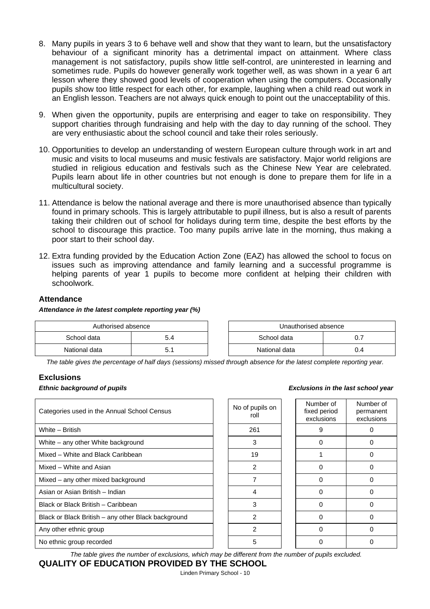- 8. Many pupils in years 3 to 6 behave well and show that they want to learn, but the unsatisfactory behaviour of a significant minority has a detrimental impact on attainment. Where class management is not satisfactory, pupils show little self-control, are uninterested in learning and sometimes rude. Pupils do however generally work together well, as was shown in a year 6 art lesson where they showed good levels of cooperation when using the computers. Occasionally pupils show too little respect for each other, for example, laughing when a child read out work in an English lesson. Teachers are not always quick enough to point out the unacceptability of this.
- 9. When given the opportunity, pupils are enterprising and eager to take on responsibility. They support charities through fundraising and help with the day to day running of the school. They are very enthusiastic about the school council and take their roles seriously.
- 10. Opportunities to develop an understanding of western European culture through work in art and music and visits to local museums and music festivals are satisfactory. Major world religions are studied in religious education and festivals such as the Chinese New Year are celebrated. Pupils learn about life in other countries but not enough is done to prepare them for life in a multicultural society.
- 11. Attendance is below the national average and there is more unauthorised absence than typically found in primary schools. This is largely attributable to pupil illness, but is also a result of parents taking their children out of school for holidays during term time, despite the best efforts by the school to discourage this practice. Too many pupils arrive late in the morning, thus making a poor start to their school day.
- 12. Extra funding provided by the Education Action Zone (EAZ) has allowed the school to focus on issues such as improving attendance and family learning and a successful programme is helping parents of year 1 pupils to become more confident at helping their children with schoolwork.

#### **Attendance**

#### *Attendance in the latest complete reporting year (%)*

| Authorised absence |     |  | Unauthorised absence |      |
|--------------------|-----|--|----------------------|------|
| School data        | 4.د |  | School data          | υ. ι |
| National data      |     |  | National data        | 0.4  |

*The table gives the percentage of half days (sessions) missed through absence for the latest complete reporting year.*

#### **Exclusions**

#### *Ethnic background of pupils Exclusions in the last school year*

| Categories used in the Annual School Census         |  | No of pupils on<br>roll | Number of<br>fixed period<br>exclusions | Numb<br>perma<br>exclus |
|-----------------------------------------------------|--|-------------------------|-----------------------------------------|-------------------------|
| White - British                                     |  | 261                     | 9                                       | $\Omega$                |
| White – any other White background                  |  | 3                       |                                         | 0                       |
| Mixed - White and Black Caribbean                   |  | 19                      |                                         | 0                       |
| Mixed - White and Asian                             |  | 2                       | 0                                       | $\Omega$                |
| Mixed – any other mixed background                  |  |                         | 0                                       | 0                       |
| Asian or Asian British - Indian                     |  | 4                       | 0                                       | $\Omega$                |
| Black or Black British - Caribbean                  |  | 3                       |                                         | 0                       |
| Black or Black British - any other Black background |  | 2                       |                                         | 0                       |
| Any other ethnic group                              |  | 2                       | 0                                       | $\Omega$                |
| No ethnic group recorded                            |  | 5                       |                                         | 0                       |

| <b>Vo of pupils on</b><br>roll | Number of<br>fixed period<br>exclusions |  | Number of<br>permanent<br>exclusions |  |
|--------------------------------|-----------------------------------------|--|--------------------------------------|--|
| 261                            | 9                                       |  | ი                                    |  |
| 3                              | ი                                       |  | ი                                    |  |
| 19                             |                                         |  | ∩                                    |  |
| 2                              | n                                       |  | U                                    |  |
| 7                              | O                                       |  | n                                    |  |
| 4                              | n                                       |  | O                                    |  |
| 3                              | ი                                       |  | ი                                    |  |
| 2                              | ი                                       |  | ი                                    |  |
| 2                              | n                                       |  | ი                                    |  |
| 5                              |                                         |  |                                      |  |

*The table gives the number of exclusions, which may be different from the number of pupils excluded.*

# **QUALITY OF EDUCATION PROVIDED BY THE SCHOOL**

Linden Primary School - 10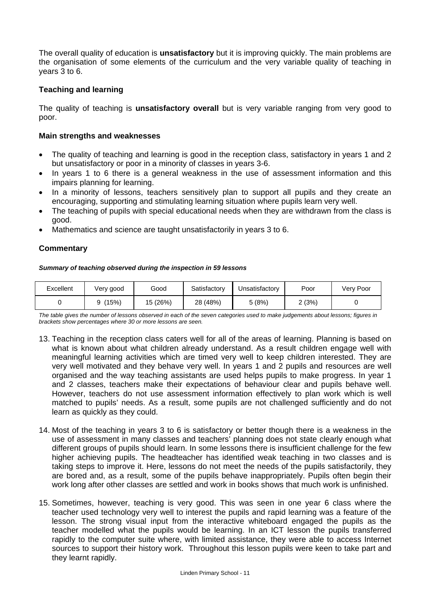The overall quality of education is **unsatisfactory** but it is improving quickly. The main problems are the organisation of some elements of the curriculum and the very variable quality of teaching in years 3 to 6.

#### **Teaching and learning**

The quality of teaching is **unsatisfactory overall** but is very variable ranging from very good to poor.

#### **Main strengths and weaknesses**

- The quality of teaching and learning is good in the reception class, satisfactory in years 1 and 2 but unsatisfactory or poor in a minority of classes in years 3-6.
- In years 1 to 6 there is a general weakness in the use of assessment information and this impairs planning for learning.
- In a minority of lessons, teachers sensitively plan to support all pupils and they create an encouraging, supporting and stimulating learning situation where pupils learn very well.
- The teaching of pupils with special educational needs when they are withdrawn from the class is good.
- Mathematics and science are taught unsatisfactorily in years 3 to 6.

#### **Commentary**

#### *Summary of teaching observed during the inspection in 59 lessons*

| Excellent | Very good | Good     | Satisfactory | Unsatisfactory | Poor  | Very Poor |
|-----------|-----------|----------|--------------|----------------|-------|-----------|
|           | (15%)     | 15 (26%) | 28 (48%)     | 5(8%)          | 2(3%) |           |

*The table gives the number of lessons observed in each of the seven categories used to make judgements about lessons; figures in brackets show percentages where 30 or more lessons are seen.* 

- 13. Teaching in the reception class caters well for all of the areas of learning. Planning is based on what is known about what children already understand. As a result children engage well with meaningful learning activities which are timed very well to keep children interested. They are very well motivated and they behave very well. In years 1 and 2 pupils and resources are well organised and the way teaching assistants are used helps pupils to make progress. In year 1 and 2 classes, teachers make their expectations of behaviour clear and pupils behave well. However, teachers do not use assessment information effectively to plan work which is well matched to pupils' needs. As a result, some pupils are not challenged sufficiently and do not learn as quickly as they could.
- 14. Most of the teaching in years 3 to 6 is satisfactory or better though there is a weakness in the use of assessment in many classes and teachers' planning does not state clearly enough what different groups of pupils should learn. In some lessons there is insufficient challenge for the few higher achieving pupils. The headteacher has identified weak teaching in two classes and is taking steps to improve it. Here, lessons do not meet the needs of the pupils satisfactorily, they are bored and, as a result, some of the pupils behave inappropriately. Pupils often begin their work long after other classes are settled and work in books shows that much work is unfinished.
- 15. Sometimes, however, teaching is very good. This was seen in one year 6 class where the teacher used technology very well to interest the pupils and rapid learning was a feature of the lesson. The strong visual input from the interactive whiteboard engaged the pupils as the teacher modelled what the pupils would be learning. In an ICT lesson the pupils transferred rapidly to the computer suite where, with limited assistance, they were able to access Internet sources to support their history work. Throughout this lesson pupils were keen to take part and they learnt rapidly.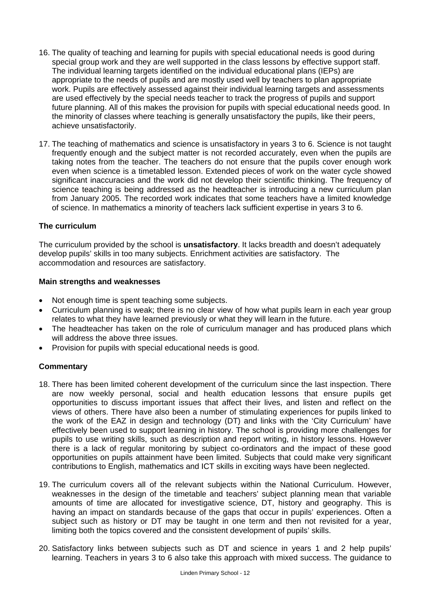- 16. The quality of teaching and learning for pupils with special educational needs is good during special group work and they are well supported in the class lessons by effective support staff. The individual learning targets identified on the individual educational plans (IEPs) are appropriate to the needs of pupils and are mostly used well by teachers to plan appropriate work. Pupils are effectively assessed against their individual learning targets and assessments are used effectively by the special needs teacher to track the progress of pupils and support future planning. All of this makes the provision for pupils with special educational needs good. In the minority of classes where teaching is generally unsatisfactory the pupils, like their peers, achieve unsatisfactorily.
- 17. The teaching of mathematics and science is unsatisfactory in years 3 to 6. Science is not taught frequently enough and the subject matter is not recorded accurately, even when the pupils are taking notes from the teacher. The teachers do not ensure that the pupils cover enough work even when science is a timetabled lesson. Extended pieces of work on the water cycle showed significant inaccuracies and the work did not develop their scientific thinking. The frequency of science teaching is being addressed as the headteacher is introducing a new curriculum plan from January 2005. The recorded work indicates that some teachers have a limited knowledge of science. In mathematics a minority of teachers lack sufficient expertise in years 3 to 6.

# **The curriculum**

The curriculum provided by the school is **unsatisfactory**. It lacks breadth and doesn't adequately develop pupils' skills in too many subjects. Enrichment activities are satisfactory. The accommodation and resources are satisfactory.

#### **Main strengths and weaknesses**

- Not enough time is spent teaching some subjects.
- Curriculum planning is weak; there is no clear view of how what pupils learn in each year group relates to what they have learned previously or what they will learn in the future.
- The headteacher has taken on the role of curriculum manager and has produced plans which will address the above three issues.
- Provision for pupils with special educational needs is good.

# **Commentary**

- 18. There has been limited coherent development of the curriculum since the last inspection. There are now weekly personal, social and health education lessons that ensure pupils get opportunities to discuss important issues that affect their lives, and listen and reflect on the views of others. There have also been a number of stimulating experiences for pupils linked to the work of the EAZ in design and technology (DT) and links with the 'City Curriculum' have effectively been used to support learning in history. The school is providing more challenges for pupils to use writing skills, such as description and report writing, in history lessons. However there is a lack of regular monitoring by subject co-ordinators and the impact of these good opportunities on pupils attainment have been limited. Subjects that could make very significant contributions to English, mathematics and ICT skills in exciting ways have been neglected.
- 19. The curriculum covers all of the relevant subjects within the National Curriculum. However, weaknesses in the design of the timetable and teachers' subject planning mean that variable amounts of time are allocated for investigative science, DT, history and geography. This is having an impact on standards because of the gaps that occur in pupils' experiences. Often a subject such as history or DT may be taught in one term and then not revisited for a year, limiting both the topics covered and the consistent development of pupils' skills.
- 20. Satisfactory links between subjects such as DT and science in years 1 and 2 help pupils' learning. Teachers in years 3 to 6 also take this approach with mixed success. The guidance to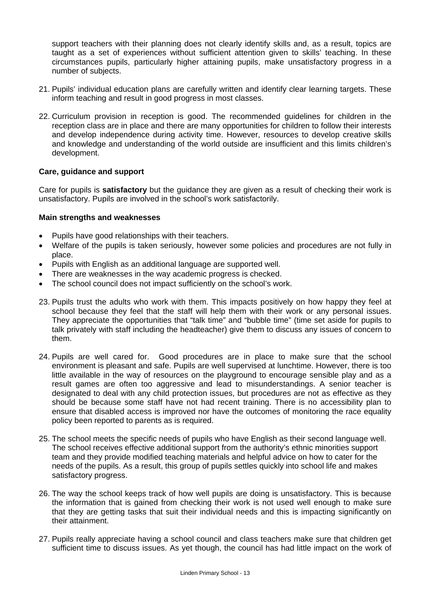support teachers with their planning does not clearly identify skills and, as a result, topics are taught as a set of experiences without sufficient attention given to skills' teaching. In these circumstances pupils, particularly higher attaining pupils, make unsatisfactory progress in a number of subjects.

- 21. Pupils' individual education plans are carefully written and identify clear learning targets. These inform teaching and result in good progress in most classes.
- 22. Curriculum provision in reception is good. The recommended guidelines for children in the reception class are in place and there are many opportunities for children to follow their interests and develop independence during activity time. However, resources to develop creative skills and knowledge and understanding of the world outside are insufficient and this limits children's development.

#### **Care, guidance and support**

Care for pupils is **satisfactory** but the guidance they are given as a result of checking their work is unsatisfactory. Pupils are involved in the school's work satisfactorily.

#### **Main strengths and weaknesses**

- Pupils have good relationships with their teachers.
- Welfare of the pupils is taken seriously, however some policies and procedures are not fully in place.
- Pupils with English as an additional language are supported well.
- There are weaknesses in the way academic progress is checked.
- The school council does not impact sufficiently on the school's work.
- 23. Pupils trust the adults who work with them. This impacts positively on how happy they feel at school because they feel that the staff will help them with their work or any personal issues. They appreciate the opportunities that "talk time" and "bubble time" (time set aside for pupils to talk privately with staff including the headteacher) give them to discuss any issues of concern to them.
- 24. Pupils are well cared for. Good procedures are in place to make sure that the school environment is pleasant and safe. Pupils are well supervised at lunchtime. However, there is too little available in the way of resources on the playground to encourage sensible play and as a result games are often too aggressive and lead to misunderstandings. A senior teacher is designated to deal with any child protection issues, but procedures are not as effective as they should be because some staff have not had recent training. There is no accessibility plan to ensure that disabled access is improved nor have the outcomes of monitoring the race equality policy been reported to parents as is required.
- 25. The school meets the specific needs of pupils who have English as their second language well. The school receives effective additional support from the authority's ethnic minorities support team and they provide modified teaching materials and helpful advice on how to cater for the needs of the pupils. As a result, this group of pupils settles quickly into school life and makes satisfactory progress.
- 26. The way the school keeps track of how well pupils are doing is unsatisfactory. This is because the information that is gained from checking their work is not used well enough to make sure that they are getting tasks that suit their individual needs and this is impacting significantly on their attainment.
- 27. Pupils really appreciate having a school council and class teachers make sure that children get sufficient time to discuss issues. As yet though, the council has had little impact on the work of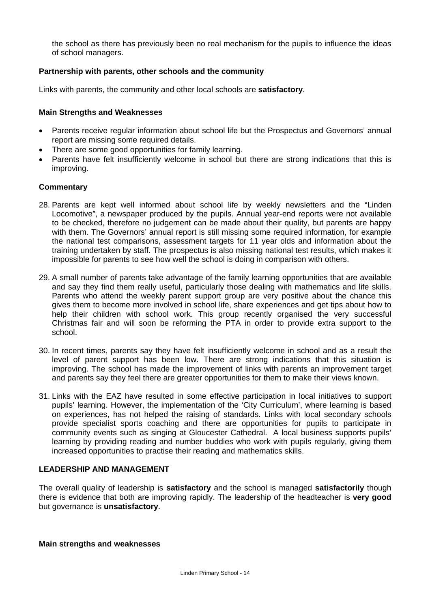the school as there has previously been no real mechanism for the pupils to influence the ideas of school managers.

## **Partnership with parents, other schools and the community**

Links with parents, the community and other local schools are **satisfactory**.

#### **Main Strengths and Weaknesses**

- Parents receive regular information about school life but the Prospectus and Governors' annual report are missing some required details.
- There are some good opportunities for family learning.
- Parents have felt insufficiently welcome in school but there are strong indications that this is improving.

#### **Commentary**

- 28. Parents are kept well informed about school life by weekly newsletters and the "Linden Locomotive", a newspaper produced by the pupils. Annual year-end reports were not available to be checked, therefore no judgement can be made about their quality, but parents are happy with them. The Governors' annual report is still missing some required information, for example the national test comparisons, assessment targets for 11 year olds and information about the training undertaken by staff. The prospectus is also missing national test results, which makes it impossible for parents to see how well the school is doing in comparison with others.
- 29. A small number of parents take advantage of the family learning opportunities that are available and say they find them really useful, particularly those dealing with mathematics and life skills. Parents who attend the weekly parent support group are very positive about the chance this gives them to become more involved in school life, share experiences and get tips about how to help their children with school work. This group recently organised the very successful Christmas fair and will soon be reforming the PTA in order to provide extra support to the school.
- 30. In recent times, parents say they have felt insufficiently welcome in school and as a result the level of parent support has been low. There are strong indications that this situation is improving. The school has made the improvement of links with parents an improvement target and parents say they feel there are greater opportunities for them to make their views known.
- 31. Links with the EAZ have resulted in some effective participation in local initiatives to support pupils' learning. However, the implementation of the 'City Curriculum', where learning is based on experiences, has not helped the raising of standards. Links with local secondary schools provide specialist sports coaching and there are opportunities for pupils to participate in community events such as singing at Gloucester Cathedral. A local business supports pupils' learning by providing reading and number buddies who work with pupils regularly, giving them increased opportunities to practise their reading and mathematics skills.

#### **LEADERSHIP AND MANAGEMENT**

The overall quality of leadership is **satisfactory** and the school is managed **satisfactorily** though there is evidence that both are improving rapidly. The leadership of the headteacher is **very good** but governance is **unsatisfactory**.

#### **Main strengths and weaknesses**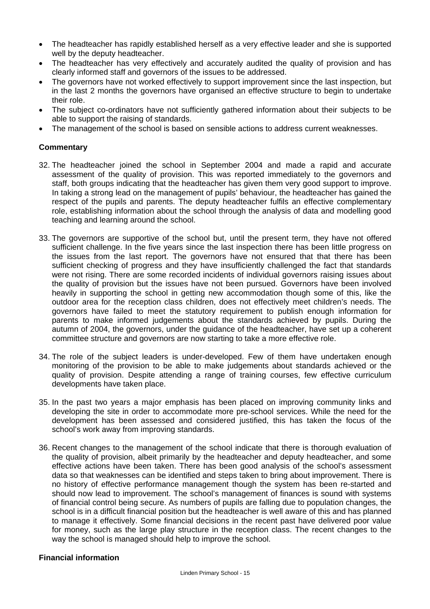- The headteacher has rapidly established herself as a very effective leader and she is supported well by the deputy headteacher.
- The headteacher has very effectively and accurately audited the quality of provision and has clearly informed staff and governors of the issues to be addressed.
- The governors have not worked effectively to support improvement since the last inspection, but in the last 2 months the governors have organised an effective structure to begin to undertake their role.
- The subject co-ordinators have not sufficiently gathered information about their subjects to be able to support the raising of standards.
- The management of the school is based on sensible actions to address current weaknesses.

## **Commentary**

- 32. The headteacher joined the school in September 2004 and made a rapid and accurate assessment of the quality of provision. This was reported immediately to the governors and staff, both groups indicating that the headteacher has given them very good support to improve. In taking a strong lead on the management of pupils' behaviour, the headteacher has gained the respect of the pupils and parents. The deputy headteacher fulfils an effective complementary role, establishing information about the school through the analysis of data and modelling good teaching and learning around the school.
- 33. The governors are supportive of the school but, until the present term, they have not offered sufficient challenge. In the five years since the last inspection there has been little progress on the issues from the last report. The governors have not ensured that that there has been sufficient checking of progress and they have insufficiently challenged the fact that standards were not rising. There are some recorded incidents of individual governors raising issues about the quality of provision but the issues have not been pursued. Governors have been involved heavily in supporting the school in getting new accommodation though some of this, like the outdoor area for the reception class children, does not effectively meet children's needs. The governors have failed to meet the statutory requirement to publish enough information for parents to make informed judgements about the standards achieved by pupils. During the autumn of 2004, the governors, under the guidance of the headteacher, have set up a coherent committee structure and governors are now starting to take a more effective role.
- 34. The role of the subject leaders is under-developed. Few of them have undertaken enough monitoring of the provision to be able to make judgements about standards achieved or the quality of provision. Despite attending a range of training courses, few effective curriculum developments have taken place.
- 35. In the past two years a major emphasis has been placed on improving community links and developing the site in order to accommodate more pre-school services. While the need for the development has been assessed and considered justified, this has taken the focus of the school's work away from improving standards.
- 36. Recent changes to the management of the school indicate that there is thorough evaluation of the quality of provision, albeit primarily by the headteacher and deputy headteacher, and some effective actions have been taken. There has been good analysis of the school's assessment data so that weaknesses can be identified and steps taken to bring about improvement. There is no history of effective performance management though the system has been re-started and should now lead to improvement. The school's management of finances is sound with systems of financial control being secure. As numbers of pupils are falling due to population changes, the school is in a difficult financial position but the headteacher is well aware of this and has planned to manage it effectively. Some financial decisions in the recent past have delivered poor value for money, such as the large play structure in the reception class. The recent changes to the way the school is managed should help to improve the school.

## **Financial information**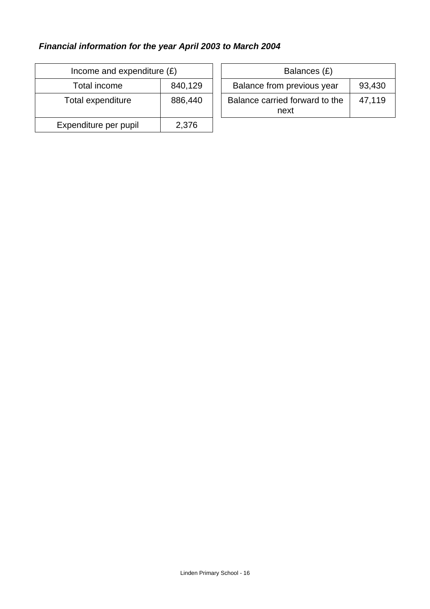# *Financial information for the year April 2003 to March 2004*

| Income and expenditure $(E)$ |         |  | Balances (£)                           |
|------------------------------|---------|--|----------------------------------------|
| Total income                 | 840,129 |  | Balance from previous year             |
| Total expenditure            | 886,440 |  | Balance carried forward to the<br>next |
| Expenditure per pupil        | 2,376   |  |                                        |

| ncome and expenditure $(E)$ |         | Balances (£)                                     |
|-----------------------------|---------|--------------------------------------------------|
| Total income                | 840,129 | Balance from previous year<br>93,430             |
| tal expenditure             | 886,440 | Balance carried forward to the<br>47.119<br>next |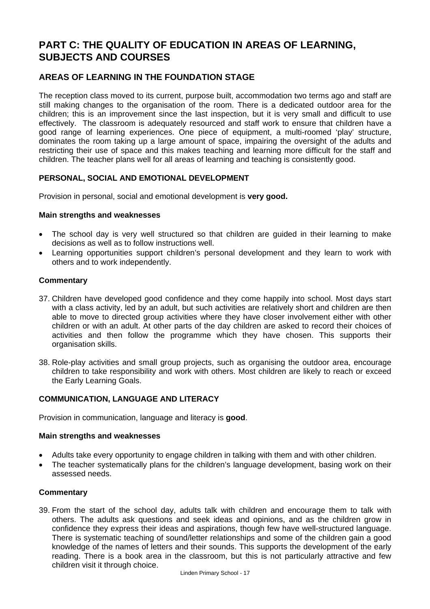# **PART C: THE QUALITY OF EDUCATION IN AREAS OF LEARNING, SUBJECTS AND COURSES**

# **AREAS OF LEARNING IN THE FOUNDATION STAGE**

The reception class moved to its current, purpose built, accommodation two terms ago and staff are still making changes to the organisation of the room. There is a dedicated outdoor area for the children; this is an improvement since the last inspection, but it is very small and difficult to use effectively. The classroom is adequately resourced and staff work to ensure that children have a good range of learning experiences. One piece of equipment, a multi-roomed 'play' structure, dominates the room taking up a large amount of space, impairing the oversight of the adults and restricting their use of space and this makes teaching and learning more difficult for the staff and children. The teacher plans well for all areas of learning and teaching is consistently good.

# **PERSONAL, SOCIAL AND EMOTIONAL DEVELOPMENT**

Provision in personal, social and emotional development is **very good.** 

#### **Main strengths and weaknesses**

- The school day is very well structured so that children are guided in their learning to make decisions as well as to follow instructions well.
- Learning opportunities support children's personal development and they learn to work with others and to work independently.

#### **Commentary**

- 37. Children have developed good confidence and they come happily into school. Most days start with a class activity, led by an adult, but such activities are relatively short and children are then able to move to directed group activities where they have closer involvement either with other children or with an adult. At other parts of the day children are asked to record their choices of activities and then follow the programme which they have chosen. This supports their organisation skills.
- 38. Role-play activities and small group projects, such as organising the outdoor area, encourage children to take responsibility and work with others. Most children are likely to reach or exceed the Early Learning Goals.

#### **COMMUNICATION, LANGUAGE AND LITERACY**

Provision in communication, language and literacy is **good**.

#### **Main strengths and weaknesses**

- Adults take every opportunity to engage children in talking with them and with other children.
- The teacher systematically plans for the children's language development, basing work on their assessed needs.

#### **Commentary**

39. From the start of the school day, adults talk with children and encourage them to talk with others. The adults ask questions and seek ideas and opinions, and as the children grow in confidence they express their ideas and aspirations, though few have well-structured language. There is systematic teaching of sound/letter relationships and some of the children gain a good knowledge of the names of letters and their sounds. This supports the development of the early reading. There is a book area in the classroom, but this is not particularly attractive and few children visit it through choice.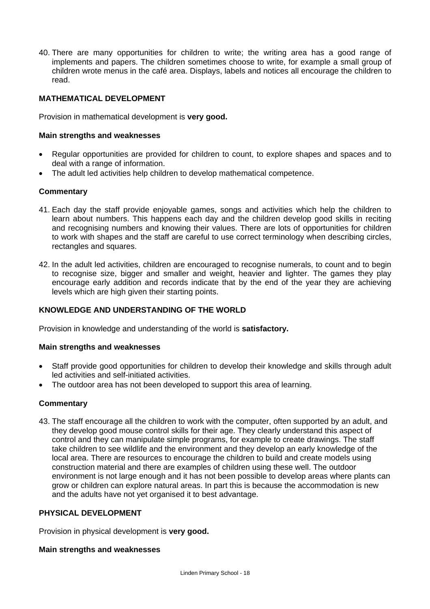40. There are many opportunities for children to write; the writing area has a good range of implements and papers. The children sometimes choose to write, for example a small group of children wrote menus in the café area. Displays, labels and notices all encourage the children to read.

# **MATHEMATICAL DEVELOPMENT**

Provision in mathematical development is **very good.**

#### **Main strengths and weaknesses**

- Regular opportunities are provided for children to count, to explore shapes and spaces and to deal with a range of information.
- The adult led activities help children to develop mathematical competence.

#### **Commentary**

- 41. Each day the staff provide enjoyable games, songs and activities which help the children to learn about numbers. This happens each day and the children develop good skills in reciting and recognising numbers and knowing their values. There are lots of opportunities for children to work with shapes and the staff are careful to use correct terminology when describing circles, rectangles and squares.
- 42. In the adult led activities, children are encouraged to recognise numerals, to count and to begin to recognise size, bigger and smaller and weight, heavier and lighter. The games they play encourage early addition and records indicate that by the end of the year they are achieving levels which are high given their starting points.

## **KNOWLEDGE AND UNDERSTANDING OF THE WORLD**

Provision in knowledge and understanding of the world is **satisfactory.** 

#### **Main strengths and weaknesses**

- Staff provide good opportunities for children to develop their knowledge and skills through adult led activities and self-initiated activities.
- The outdoor area has not been developed to support this area of learning.

#### **Commentary**

43. The staff encourage all the children to work with the computer, often supported by an adult, and they develop good mouse control skills for their age. They clearly understand this aspect of control and they can manipulate simple programs, for example to create drawings. The staff take children to see wildlife and the environment and they develop an early knowledge of the local area. There are resources to encourage the children to build and create models using construction material and there are examples of children using these well. The outdoor environment is not large enough and it has not been possible to develop areas where plants can grow or children can explore natural areas. In part this is because the accommodation is new and the adults have not yet organised it to best advantage.

#### **PHYSICAL DEVELOPMENT**

Provision in physical development is **very good.**

#### **Main strengths and weaknesses**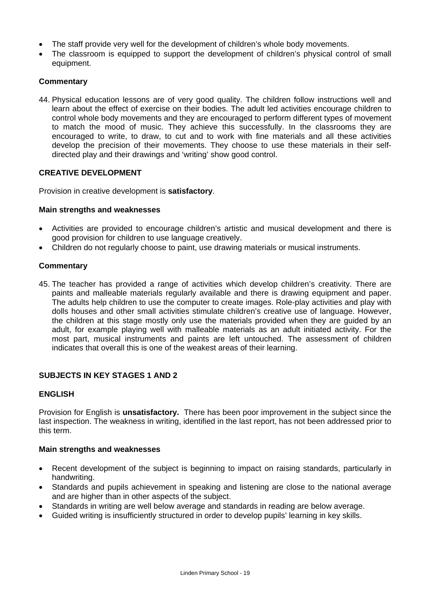- The staff provide very well for the development of children's whole body movements.
- The classroom is equipped to support the development of children's physical control of small equipment.

# **Commentary**

44. Physical education lessons are of very good quality. The children follow instructions well and learn about the effect of exercise on their bodies. The adult led activities encourage children to control whole body movements and they are encouraged to perform different types of movement to match the mood of music. They achieve this successfully. In the classrooms they are encouraged to write, to draw, to cut and to work with fine materials and all these activities develop the precision of their movements. They choose to use these materials in their selfdirected play and their drawings and 'writing' show good control.

# **CREATIVE DEVELOPMENT**

Provision in creative development is **satisfactory**.

#### **Main strengths and weaknesses**

- Activities are provided to encourage children's artistic and musical development and there is good provision for children to use language creatively.
- Children do not regularly choose to paint, use drawing materials or musical instruments.

#### **Commentary**

45. The teacher has provided a range of activities which develop children's creativity. There are paints and malleable materials regularly available and there is drawing equipment and paper. The adults help children to use the computer to create images. Role-play activities and play with dolls houses and other small activities stimulate children's creative use of language. However, the children at this stage mostly only use the materials provided when they are guided by an adult, for example playing well with malleable materials as an adult initiated activity. For the most part, musical instruments and paints are left untouched. The assessment of children indicates that overall this is one of the weakest areas of their learning.

#### **SUBJECTS IN KEY STAGES 1 AND 2**

#### **ENGLISH**

Provision for English is **unsatisfactory.** There has been poor improvement in the subject since the last inspection. The weakness in writing, identified in the last report, has not been addressed prior to this term.

#### **Main strengths and weaknesses**

- Recent development of the subject is beginning to impact on raising standards, particularly in handwriting.
- Standards and pupils achievement in speaking and listening are close to the national average and are higher than in other aspects of the subject.
- Standards in writing are well below average and standards in reading are below average.
- Guided writing is insufficiently structured in order to develop pupils' learning in key skills.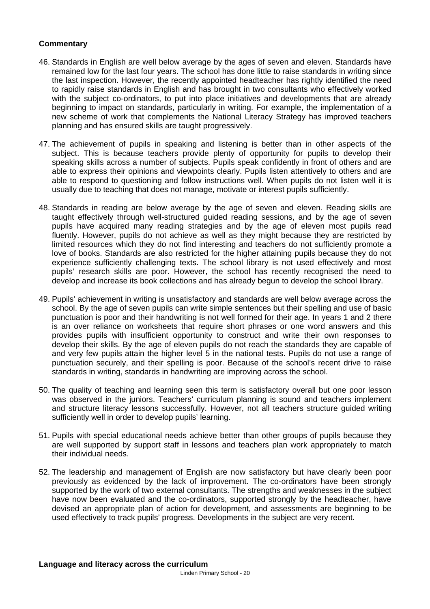# **Commentary**

- 46. Standards in English are well below average by the ages of seven and eleven. Standards have remained low for the last four years. The school has done little to raise standards in writing since the last inspection. However, the recently appointed headteacher has rightly identified the need to rapidly raise standards in English and has brought in two consultants who effectively worked with the subject co-ordinators, to put into place initiatives and developments that are already beginning to impact on standards, particularly in writing. For example, the implementation of a new scheme of work that complements the National Literacy Strategy has improved teachers planning and has ensured skills are taught progressively.
- 47. The achievement of pupils in speaking and listening is better than in other aspects of the subject. This is because teachers provide plenty of opportunity for pupils to develop their speaking skills across a number of subjects. Pupils speak confidently in front of others and are able to express their opinions and viewpoints clearly. Pupils listen attentively to others and are able to respond to questioning and follow instructions well. When pupils do not listen well it is usually due to teaching that does not manage, motivate or interest pupils sufficiently.
- 48. Standards in reading are below average by the age of seven and eleven. Reading skills are taught effectively through well-structured guided reading sessions, and by the age of seven pupils have acquired many reading strategies and by the age of eleven most pupils read fluently. However, pupils do not achieve as well as they might because they are restricted by limited resources which they do not find interesting and teachers do not sufficiently promote a love of books. Standards are also restricted for the higher attaining pupils because they do not experience sufficiently challenging texts. The school library is not used effectively and most pupils' research skills are poor. However, the school has recently recognised the need to develop and increase its book collections and has already begun to develop the school library.
- 49. Pupils' achievement in writing is unsatisfactory and standards are well below average across the school. By the age of seven pupils can write simple sentences but their spelling and use of basic punctuation is poor and their handwriting is not well formed for their age. In years 1 and 2 there is an over reliance on worksheets that require short phrases or one word answers and this provides pupils with insufficient opportunity to construct and write their own responses to develop their skills. By the age of eleven pupils do not reach the standards they are capable of and very few pupils attain the higher level 5 in the national tests. Pupils do not use a range of punctuation securely, and their spelling is poor. Because of the school's recent drive to raise standards in writing, standards in handwriting are improving across the school.
- 50. The quality of teaching and learning seen this term is satisfactory overall but one poor lesson was observed in the juniors. Teachers' curriculum planning is sound and teachers implement and structure literacy lessons successfully. However, not all teachers structure guided writing sufficiently well in order to develop pupils' learning.
- 51. Pupils with special educational needs achieve better than other groups of pupils because they are well supported by support staff in lessons and teachers plan work appropriately to match their individual needs.
- 52. The leadership and management of English are now satisfactory but have clearly been poor previously as evidenced by the lack of improvement. The co-ordinators have been strongly supported by the work of two external consultants. The strengths and weaknesses in the subject have now been evaluated and the co-ordinators, supported strongly by the headteacher, have devised an appropriate plan of action for development, and assessments are beginning to be used effectively to track pupils' progress. Developments in the subject are very recent.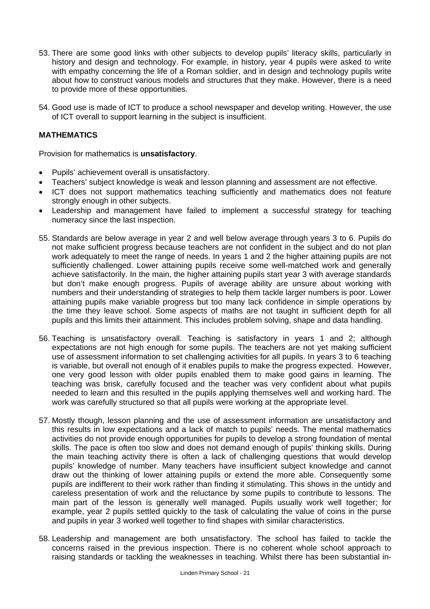- 53. There are some good links with other subjects to develop pupils' literacy skills, particularly in history and design and technology. For example, in history, year 4 pupils were asked to write with empathy concerning the life of a Roman soldier, and in design and technology pupils write about how to construct various models and structures that they make. However, there is a need to provide more of these opportunities.
- 54. Good use is made of ICT to produce a school newspaper and develop writing. However, the use of ICT overall to support learning in the subject is insufficient.

# **MATHEMATICS**

Provision for mathematics is **unsatisfactory**.

- Pupils' achievement overall is unsatisfactory.
- Teachers' subject knowledge is weak and lesson planning and assessment are not effective.
- ICT does not support mathematics teaching sufficiently and mathematics does not feature strongly enough in other subjects.
- Leadership and management have failed to implement a successful strategy for teaching numeracy since the last inspection.
- 55. Standards are below average in year 2 and well below average through years 3 to 6. Pupils do not make sufficient progress because teachers are not confident in the subject and do not plan work adequately to meet the range of needs. In years 1 and 2 the higher attaining pupils are not sufficiently challenged. Lower attaining pupils receive some well-matched work and generally achieve satisfactorily. In the main, the higher attaining pupils start year 3 with average standards but don't make enough progress. Pupils of average ability are unsure about working with numbers and their understanding of strategies to help them tackle larger numbers is poor. Lower attaining pupils make variable progress but too many lack confidence in simple operations by the time they leave school. Some aspects of maths are not taught in sufficient depth for all pupils and this limits their attainment. This includes problem solving, shape and data handling.
- 56. Teaching is unsatisfactory overall. Teaching is satisfactory in years 1 and 2; although expectations are not high enough for some pupils. The teachers are not yet making sufficient use of assessment information to set challenging activities for all pupils. In years 3 to 6 teaching is variable, but overall not enough of it enables pupils to make the progress expected. However, one very good lesson with older pupils enabled them to make good gains in learning. The teaching was brisk, carefully focused and the teacher was very confident about what pupils needed to learn and this resulted in the pupils applying themselves well and working hard. The work was carefully structured so that all pupils were working at the appropriate level.
- 57. Mostly though, lesson planning and the use of assessment information are unsatisfactory and this results in low expectations and a lack of match to pupils' needs. The mental mathematics activities do not provide enough opportunities for pupils to develop a strong foundation of mental skills. The pace is often too slow and does not demand enough of pupils' thinking skills. During the main teaching activity there is often a lack of challenging questions that would develop pupils' knowledge of number. Many teachers have insufficient subject knowledge and cannot draw out the thinking of lower attaining pupils or extend the more able. Consequently some pupils are indifferent to their work rather than finding it stimulating. This shows in the untidy and careless presentation of work and the reluctance by some pupils to contribute to lessons. The main part of the lesson is generally well managed. Pupils usually work well together; for example, year 2 pupils settled quickly to the task of calculating the value of coins in the purse and pupils in year 3 worked well together to find shapes with similar characteristics.
- 58. Leadership and management are both unsatisfactory. The school has failed to tackle the concerns raised in the previous inspection. There is no coherent whole school approach to raising standards or tackling the weaknesses in teaching. Whilst there has been substantial in-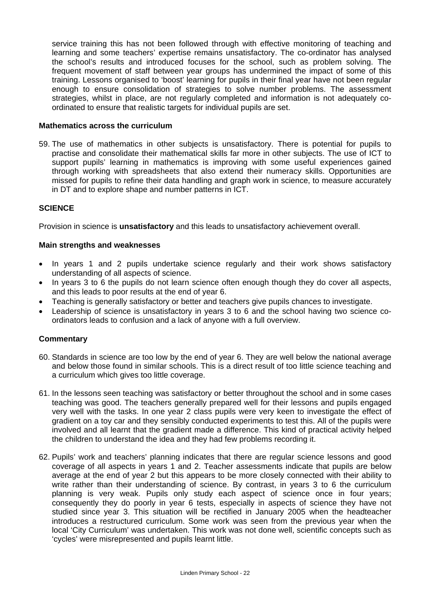service training this has not been followed through with effective monitoring of teaching and learning and some teachers' expertise remains unsatisfactory. The co-ordinator has analysed the school's results and introduced focuses for the school, such as problem solving. The frequent movement of staff between year groups has undermined the impact of some of this training. Lessons organised to 'boost' learning for pupils in their final year have not been regular enough to ensure consolidation of strategies to solve number problems. The assessment strategies, whilst in place, are not regularly completed and information is not adequately coordinated to ensure that realistic targets for individual pupils are set.

#### **Mathematics across the curriculum**

59. The use of mathematics in other subjects is unsatisfactory. There is potential for pupils to practise and consolidate their mathematical skills far more in other subjects. The use of ICT to support pupils' learning in mathematics is improving with some useful experiences gained through working with spreadsheets that also extend their numeracy skills. Opportunities are missed for pupils to refine their data handling and graph work in science, to measure accurately in DT and to explore shape and number patterns in ICT.

#### **SCIENCE**

Provision in science is **unsatisfactory** and this leads to unsatisfactory achievement overall.

#### **Main strengths and weaknesses**

- In vears 1 and 2 pupils undertake science regularly and their work shows satisfactory understanding of all aspects of science.
- In years 3 to 6 the pupils do not learn science often enough though they do cover all aspects, and this leads to poor results at the end of year 6.
- Teaching is generally satisfactory or better and teachers give pupils chances to investigate.
- Leadership of science is unsatisfactory in years 3 to 6 and the school having two science coordinators leads to confusion and a lack of anyone with a full overview.

#### **Commentary**

- 60. Standards in science are too low by the end of year 6. They are well below the national average and below those found in similar schools. This is a direct result of too little science teaching and a curriculum which gives too little coverage.
- 61. In the lessons seen teaching was satisfactory or better throughout the school and in some cases teaching was good. The teachers generally prepared well for their lessons and pupils engaged very well with the tasks. In one year 2 class pupils were very keen to investigate the effect of gradient on a toy car and they sensibly conducted experiments to test this. All of the pupils were involved and all learnt that the gradient made a difference. This kind of practical activity helped the children to understand the idea and they had few problems recording it.
- 62. Pupils' work and teachers' planning indicates that there are regular science lessons and good coverage of all aspects in years 1 and 2. Teacher assessments indicate that pupils are below average at the end of year 2 but this appears to be more closely connected with their ability to write rather than their understanding of science. By contrast, in years 3 to 6 the curriculum planning is very weak. Pupils only study each aspect of science once in four years; consequently they do poorly in year 6 tests, especially in aspects of science they have not studied since year 3. This situation will be rectified in January 2005 when the headteacher introduces a restructured curriculum. Some work was seen from the previous year when the local 'City Curriculum' was undertaken. This work was not done well, scientific concepts such as 'cycles' were misrepresented and pupils learnt little.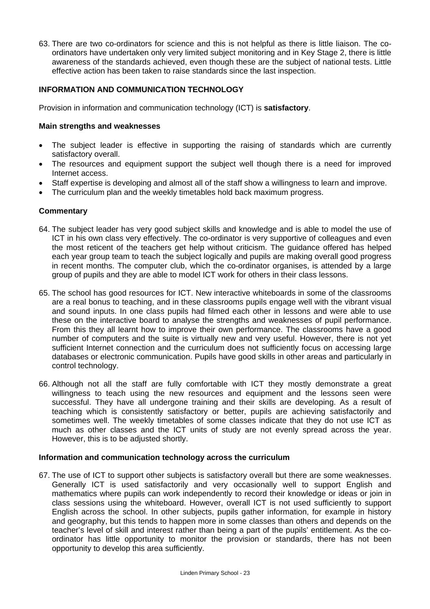63. There are two co-ordinators for science and this is not helpful as there is little liaison. The coordinators have undertaken only very limited subject monitoring and in Key Stage 2, there is little awareness of the standards achieved, even though these are the subject of national tests. Little effective action has been taken to raise standards since the last inspection.

## **INFORMATION AND COMMUNICATION TECHNOLOGY**

Provision in information and communication technology (ICT) is **satisfactory**.

#### **Main strengths and weaknesses**

- The subject leader is effective in supporting the raising of standards which are currently satisfactory overall.
- The resources and equipment support the subject well though there is a need for improved Internet access.
- Staff expertise is developing and almost all of the staff show a willingness to learn and improve.
- The curriculum plan and the weekly timetables hold back maximum progress.

# **Commentary**

- 64. The subject leader has very good subject skills and knowledge and is able to model the use of ICT in his own class very effectively. The co-ordinator is very supportive of colleagues and even the most reticent of the teachers get help without criticism. The guidance offered has helped each year group team to teach the subject logically and pupils are making overall good progress in recent months. The computer club, which the co-ordinator organises, is attended by a large group of pupils and they are able to model ICT work for others in their class lessons.
- 65. The school has good resources for ICT. New interactive whiteboards in some of the classrooms are a real bonus to teaching, and in these classrooms pupils engage well with the vibrant visual and sound inputs. In one class pupils had filmed each other in lessons and were able to use these on the interactive board to analyse the strengths and weaknesses of pupil performance. From this they all learnt how to improve their own performance. The classrooms have a good number of computers and the suite is virtually new and very useful. However, there is not yet sufficient Internet connection and the curriculum does not sufficiently focus on accessing large databases or electronic communication. Pupils have good skills in other areas and particularly in control technology.
- 66. Although not all the staff are fully comfortable with ICT they mostly demonstrate a great willingness to teach using the new resources and equipment and the lessons seen were successful. They have all undergone training and their skills are developing. As a result of teaching which is consistently satisfactory or better, pupils are achieving satisfactorily and sometimes well. The weekly timetables of some classes indicate that they do not use ICT as much as other classes and the ICT units of study are not evenly spread across the year. However, this is to be adjusted shortly.

#### **Information and communication technology across the curriculum**

67. The use of ICT to support other subjects is satisfactory overall but there are some weaknesses. Generally ICT is used satisfactorily and very occasionally well to support English and mathematics where pupils can work independently to record their knowledge or ideas or join in class sessions using the whiteboard. However, overall ICT is not used sufficiently to support English across the school. In other subjects, pupils gather information, for example in history and geography, but this tends to happen more in some classes than others and depends on the teacher's level of skill and interest rather than being a part of the pupils' entitlement. As the coordinator has little opportunity to monitor the provision or standards, there has not been opportunity to develop this area sufficiently.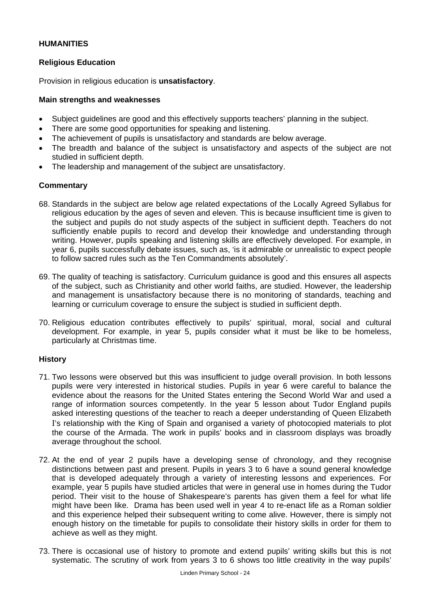## **HUMANITIES**

#### **Religious Education**

Provision in religious education is **unsatisfactory**.

#### **Main strengths and weaknesses**

- Subject guidelines are good and this effectively supports teachers' planning in the subject.
- There are some good opportunities for speaking and listening.
- The achievement of pupils is unsatisfactory and standards are below average.
- The breadth and balance of the subject is unsatisfactory and aspects of the subject are not studied in sufficient depth.
- The leadership and management of the subject are unsatisfactory.

#### **Commentary**

- 68. Standards in the subject are below age related expectations of the Locally Agreed Syllabus for religious education by the ages of seven and eleven. This is because insufficient time is given to the subject and pupils do not study aspects of the subject in sufficient depth. Teachers do not sufficiently enable pupils to record and develop their knowledge and understanding through writing. However, pupils speaking and listening skills are effectively developed. For example, in year 6, pupils successfully debate issues, such as, 'is it admirable or unrealistic to expect people to follow sacred rules such as the Ten Commandments absolutely'.
- 69. The quality of teaching is satisfactory. Curriculum guidance is good and this ensures all aspects of the subject, such as Christianity and other world faiths, are studied. However, the leadership and management is unsatisfactory because there is no monitoring of standards, teaching and learning or curriculum coverage to ensure the subject is studied in sufficient depth.
- 70. Religious education contributes effectively to pupils' spiritual, moral, social and cultural development. For example, in year 5, pupils consider what it must be like to be homeless, particularly at Christmas time.

#### **History**

- 71. Two lessons were observed but this was insufficient to judge overall provision. In both lessons pupils were very interested in historical studies. Pupils in year 6 were careful to balance the evidence about the reasons for the United States entering the Second World War and used a range of information sources competently. In the year 5 lesson about Tudor England pupils asked interesting questions of the teacher to reach a deeper understanding of Queen Elizabeth I's relationship with the King of Spain and organised a variety of photocopied materials to plot the course of the Armada. The work in pupils' books and in classroom displays was broadly average throughout the school.
- 72. At the end of year 2 pupils have a developing sense of chronology, and they recognise distinctions between past and present. Pupils in years 3 to 6 have a sound general knowledge that is developed adequately through a variety of interesting lessons and experiences. For example, year 5 pupils have studied articles that were in general use in homes during the Tudor period. Their visit to the house of Shakespeare's parents has given them a feel for what life might have been like. Drama has been used well in year 4 to re-enact life as a Roman soldier and this experience helped their subsequent writing to come alive. However, there is simply not enough history on the timetable for pupils to consolidate their history skills in order for them to achieve as well as they might.
- 73. There is occasional use of history to promote and extend pupils' writing skills but this is not systematic. The scrutiny of work from years 3 to 6 shows too little creativity in the way pupils'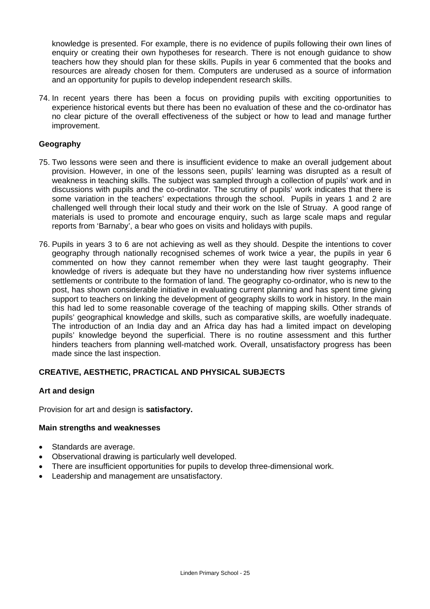knowledge is presented. For example, there is no evidence of pupils following their own lines of enquiry or creating their own hypotheses for research. There is not enough guidance to show teachers how they should plan for these skills. Pupils in year 6 commented that the books and resources are already chosen for them. Computers are underused as a source of information and an opportunity for pupils to develop independent research skills.

74. In recent years there has been a focus on providing pupils with exciting opportunities to experience historical events but there has been no evaluation of these and the co-ordinator has no clear picture of the overall effectiveness of the subject or how to lead and manage further improvement.

#### **Geography**

- 75. Two lessons were seen and there is insufficient evidence to make an overall judgement about provision. However, in one of the lessons seen, pupils' learning was disrupted as a result of weakness in teaching skills. The subject was sampled through a collection of pupils' work and in discussions with pupils and the co-ordinator. The scrutiny of pupils' work indicates that there is some variation in the teachers' expectations through the school. Pupils in years 1 and 2 are challenged well through their local study and their work on the Isle of Struay. A good range of materials is used to promote and encourage enquiry, such as large scale maps and regular reports from 'Barnaby', a bear who goes on visits and holidays with pupils.
- 76. Pupils in years 3 to 6 are not achieving as well as they should. Despite the intentions to cover geography through nationally recognised schemes of work twice a year, the pupils in year 6 commented on how they cannot remember when they were last taught geography. Their knowledge of rivers is adequate but they have no understanding how river systems influence settlements or contribute to the formation of land. The geography co-ordinator, who is new to the post, has shown considerable initiative in evaluating current planning and has spent time giving support to teachers on linking the development of geography skills to work in history. In the main this had led to some reasonable coverage of the teaching of mapping skills. Other strands of pupils' geographical knowledge and skills, such as comparative skills, are woefully inadequate. The introduction of an India day and an Africa day has had a limited impact on developing pupils' knowledge beyond the superficial. There is no routine assessment and this further hinders teachers from planning well-matched work. Overall, unsatisfactory progress has been made since the last inspection.

#### **CREATIVE, AESTHETIC, PRACTICAL AND PHYSICAL SUBJECTS**

#### **Art and design**

Provision for art and design is **satisfactory.** 

#### **Main strengths and weaknesses**

- Standards are average.
- Observational drawing is particularly well developed.
- There are insufficient opportunities for pupils to develop three-dimensional work.
- Leadership and management are unsatisfactory.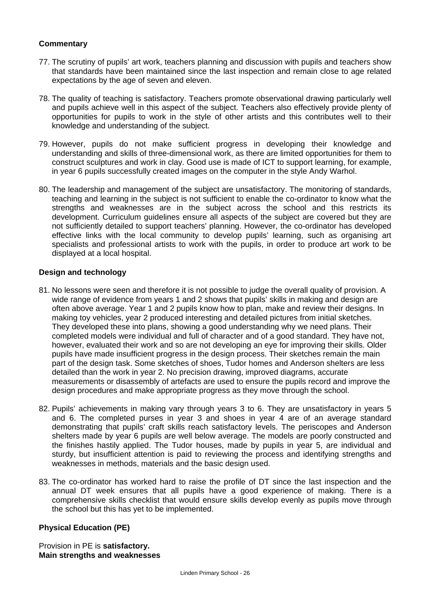# **Commentary**

- 77. The scrutiny of pupils' art work, teachers planning and discussion with pupils and teachers show that standards have been maintained since the last inspection and remain close to age related expectations by the age of seven and eleven.
- 78. The quality of teaching is satisfactory. Teachers promote observational drawing particularly well and pupils achieve well in this aspect of the subject. Teachers also effectively provide plenty of opportunities for pupils to work in the style of other artists and this contributes well to their knowledge and understanding of the subject.
- 79. However, pupils do not make sufficient progress in developing their knowledge and understanding and skills of three-dimensional work, as there are limited opportunities for them to construct sculptures and work in clay. Good use is made of ICT to support learning, for example, in year 6 pupils successfully created images on the computer in the style Andy Warhol.
- 80. The leadership and management of the subject are unsatisfactory. The monitoring of standards, teaching and learning in the subject is not sufficient to enable the co-ordinator to know what the strengths and weaknesses are in the subject across the school and this restricts its development. Curriculum guidelines ensure all aspects of the subject are covered but they are not sufficiently detailed to support teachers' planning. However, the co-ordinator has developed effective links with the local community to develop pupils' learning, such as organising art specialists and professional artists to work with the pupils, in order to produce art work to be displayed at a local hospital.

#### **Design and technology**

- 81. No lessons were seen and therefore it is not possible to judge the overall quality of provision. A wide range of evidence from years 1 and 2 shows that pupils' skills in making and design are often above average. Year 1 and 2 pupils know how to plan, make and review their designs. In making toy vehicles, year 2 produced interesting and detailed pictures from initial sketches. They developed these into plans, showing a good understanding why we need plans. Their completed models were individual and full of character and of a good standard. They have not, however, evaluated their work and so are not developing an eye for improving their skills. Older pupils have made insufficient progress in the design process. Their sketches remain the main part of the design task. Some sketches of shoes, Tudor homes and Anderson shelters are less detailed than the work in year 2. No precision drawing, improved diagrams, accurate measurements or disassembly of artefacts are used to ensure the pupils record and improve the design procedures and make appropriate progress as they move through the school.
- 82. Pupils' achievements in making vary through years 3 to 6. They are unsatisfactory in years 5 and 6. The completed purses in year 3 and shoes in year 4 are of an average standard demonstrating that pupils' craft skills reach satisfactory levels. The periscopes and Anderson shelters made by year 6 pupils are well below average. The models are poorly constructed and the finishes hastily applied. The Tudor houses, made by pupils in year 5, are individual and sturdy, but insufficient attention is paid to reviewing the process and identifying strengths and weaknesses in methods, materials and the basic design used.
- 83. The co-ordinator has worked hard to raise the profile of DT since the last inspection and the annual DT week ensures that all pupils have a good experience of making. There is a comprehensive skills checklist that would ensure skills develop evenly as pupils move through the school but this has yet to be implemented.

#### **Physical Education (PE)**

Provision in PE is **satisfactory. Main strengths and weaknesses**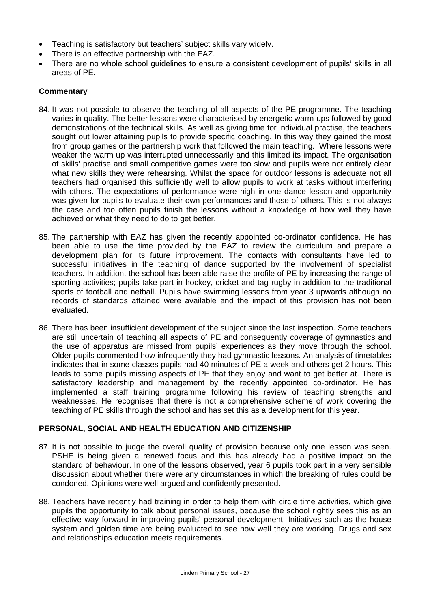- Teaching is satisfactory but teachers' subject skills vary widely.
- There is an effective partnership with the EAZ.
- There are no whole school guidelines to ensure a consistent development of pupils' skills in all areas of PE.

# **Commentary**

- 84. It was not possible to observe the teaching of all aspects of the PE programme. The teaching varies in quality. The better lessons were characterised by energetic warm-ups followed by good demonstrations of the technical skills. As well as giving time for individual practise, the teachers sought out lower attaining pupils to provide specific coaching. In this way they gained the most from group games or the partnership work that followed the main teaching. Where lessons were weaker the warm up was interrupted unnecessarily and this limited its impact. The organisation of skills' practise and small competitive games were too slow and pupils were not entirely clear what new skills they were rehearsing. Whilst the space for outdoor lessons is adequate not all teachers had organised this sufficiently well to allow pupils to work at tasks without interfering with others. The expectations of performance were high in one dance lesson and opportunity was given for pupils to evaluate their own performances and those of others. This is not always the case and too often pupils finish the lessons without a knowledge of how well they have achieved or what they need to do to get better.
- 85. The partnership with EAZ has given the recently appointed co-ordinator confidence. He has been able to use the time provided by the EAZ to review the curriculum and prepare a development plan for its future improvement. The contacts with consultants have led to successful initiatives in the teaching of dance supported by the involvement of specialist teachers. In addition, the school has been able raise the profile of PE by increasing the range of sporting activities; pupils take part in hockey, cricket and tag rugby in addition to the traditional sports of football and netball. Pupils have swimming lessons from year 3 upwards although no records of standards attained were available and the impact of this provision has not been evaluated.
- 86. There has been insufficient development of the subject since the last inspection. Some teachers are still uncertain of teaching all aspects of PE and consequently coverage of gymnastics and the use of apparatus are missed from pupils' experiences as they move through the school. Older pupils commented how infrequently they had gymnastic lessons. An analysis of timetables indicates that in some classes pupils had 40 minutes of PE a week and others get 2 hours. This leads to some pupils missing aspects of PE that they enjoy and want to get better at. There is satisfactory leadership and management by the recently appointed co-ordinator. He has implemented a staff training programme following his review of teaching strengths and weaknesses. He recognises that there is not a comprehensive scheme of work covering the teaching of PE skills through the school and has set this as a development for this year.

#### **PERSONAL, SOCIAL AND HEALTH EDUCATION AND CITIZENSHIP**

- 87. It is not possible to judge the overall quality of provision because only one lesson was seen. PSHE is being given a renewed focus and this has already had a positive impact on the standard of behaviour. In one of the lessons observed, year 6 pupils took part in a very sensible discussion about whether there were any circumstances in which the breaking of rules could be condoned. Opinions were well argued and confidently presented.
- 88. Teachers have recently had training in order to help them with circle time activities, which give pupils the opportunity to talk about personal issues, because the school rightly sees this as an effective way forward in improving pupils' personal development. Initiatives such as the house system and golden time are being evaluated to see how well they are working. Drugs and sex and relationships education meets requirements.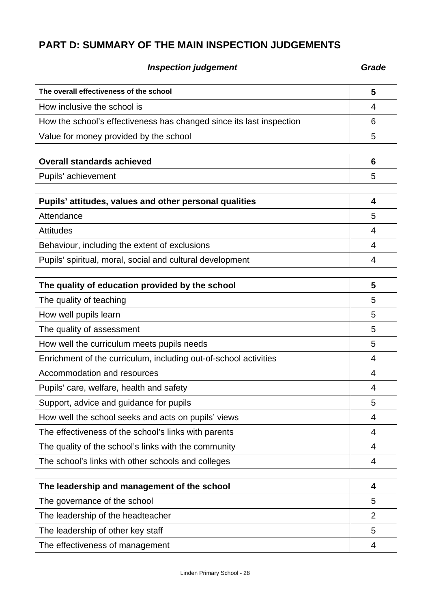# **PART D: SUMMARY OF THE MAIN INSPECTION JUDGEMENTS**

# **Inspection judgement** Grade **Grade**

| The overall effectiveness of the school                              | 5 |
|----------------------------------------------------------------------|---|
| How inclusive the school is                                          | 4 |
| How the school's effectiveness has changed since its last inspection | 6 |
| Value for money provided by the school                               | 5 |
|                                                                      |   |
| <b>Overall standards achieved</b>                                    | 6 |
| Pupils' achievement                                                  | 5 |
|                                                                      |   |
| Pupils' attitudes, values and other personal qualities               | 4 |
| Attendance                                                           | 5 |
| <b>Attitudes</b>                                                     | 4 |
| Behaviour, including the extent of exclusions                        | 4 |

| Pupils' spiritual, moral, social and cultural development |  |
|-----------------------------------------------------------|--|
| The quality of education provided by the school           |  |
| The quality of teaching                                   |  |

| $110$ quanty of toaching                                         |   |
|------------------------------------------------------------------|---|
| How well pupils learn                                            | 5 |
| The quality of assessment                                        | 5 |
| How well the curriculum meets pupils needs                       | 5 |
| Enrichment of the curriculum, including out-of-school activities | 4 |
| Accommodation and resources                                      | 4 |
| Pupils' care, welfare, health and safety                         | 4 |
| Support, advice and guidance for pupils                          | 5 |
| How well the school seeks and acts on pupils' views              | 4 |
| The effectiveness of the school's links with parents             | 4 |
| The quality of the school's links with the community             | 4 |
| The school's links with other schools and colleges               | 4 |

| The leadership and management of the school |   |
|---------------------------------------------|---|
| The governance of the school                | 5 |
| The leadership of the headteacher           |   |
| The leadership of other key staff           | 5 |
| The effectiveness of management             |   |